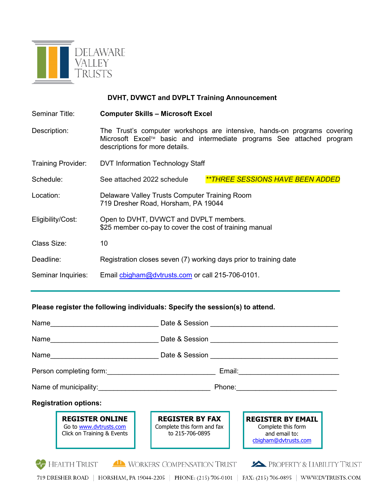

## **DVHT, DVWCT and DVPLT Training Announcement**

Seminar Title: **Computer Skills – Microsoft Excel**

- Description: The Trust's computer workshops are intensive, hands-on programs covering Microsoft Excel™ basic and intermediate programs See attached program descriptions for more details.
- Training Provider: DVT Information Technology Staff Schedule: See attached 2022 schedule **\*\*THREE SESSIONS HAVE BEEN ADDED**
- Location: Delaware Valley Trusts Computer Training Room 719 Dresher Road, Horsham, PA 19044
- Eligibility/Cost: Open to DVHT, DVWCT and DVPLT members. \$25 member co-pay to cover the cost of training manual
- Class Size: 10
- Deadline: Registration closes seven (7) working days prior to training date
- Seminar Inquiries: Email cbigham@dvtrusts.com or call 215-706-0101.

## **Please register the following individuals: Specify the session(s) to attend.**

| Name<br><u> 1989 - Johann Barbara, martin amerikan personal (</u>                |                                                                         |                                                                                         |  |  |
|----------------------------------------------------------------------------------|-------------------------------------------------------------------------|-----------------------------------------------------------------------------------------|--|--|
|                                                                                  |                                                                         |                                                                                         |  |  |
|                                                                                  |                                                                         |                                                                                         |  |  |
| Person completing form: <u>completing</u> form:                                  |                                                                         | Email: __________________________                                                       |  |  |
|                                                                                  |                                                                         |                                                                                         |  |  |
| <b>Registration options:</b>                                                     |                                                                         |                                                                                         |  |  |
| <b>REGISTER ONLINE</b><br>Go to www.dvtrusts.com<br>Click on Training & Events   | <b>REGISTER BY FAX</b><br>Complete this form and fax<br>to 215-706-0895 | <b>REGISTER BY EMAIL</b><br>Complete this form<br>and email to:<br>cbigham@dvtrusts.com |  |  |
| <b>HEALTH TRUST</b><br>WORKERS' COMPENSATION TRUST<br>PROPERTY & LIABILITY TRUST |                                                                         |                                                                                         |  |  |

719 DRESHER ROAD | HORSHAM, PA 19044-2205 | PHONE: (215) 706-0101 | FAX: (215) 706-0895 | WWW.DVTRUSTS.COM